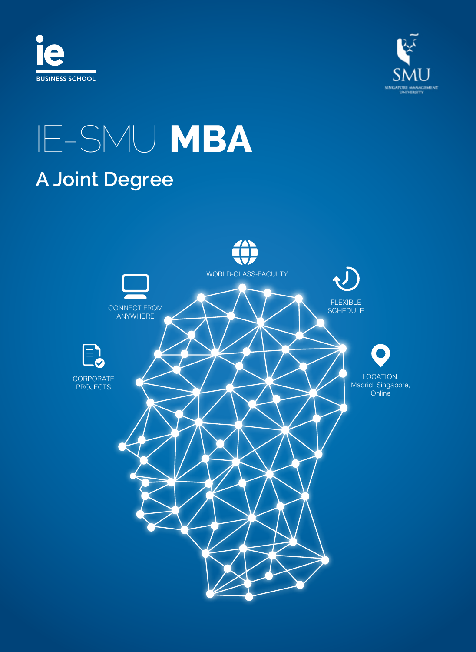



# IE-SMU **MBA A Joint Degree**

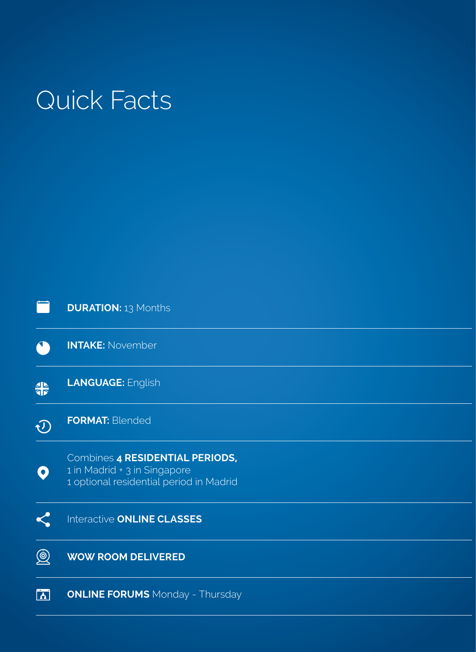# Quick Facts

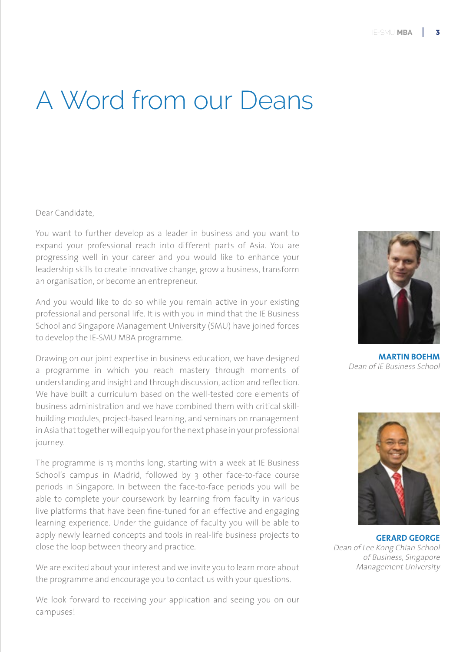## A Word from our Deans

#### Dear Candidate,

You want to further develop as a leader in business and you want to expand your professional reach into different parts of Asia. You are progressing well in your career and you would like to enhance your leadership skills to create innovative change, grow a business, transform an organisation, or become an entrepreneur.

And you would like to do so while you remain active in your existing professional and personal life. It is with you in mind that the IE Business School and Singapore Management University (SMU) have joined forces to develop the IE-SMU MBA programme.

Drawing on our joint expertise in business education, we have designed a programme in which you reach mastery through moments of understanding and insight and through discussion, action and reflection. We have built a curriculum based on the well-tested core elements of business administration and we have combined them with critical skillbuilding modules, project-based learning, and seminars on management in Asia that together will equip you for the next phase in your professional journey.

The programme is 13 months long, starting with a week at IE Business School's campus in Madrid, followed by 3 other face-to-face course periods in Singapore. In between the face-to-face periods you will be able to complete your coursework by learning from faculty in various live platforms that have been fine-tuned for an effective and engaging learning experience. Under the guidance of faculty you will be able to apply newly learned concepts and tools in real-life business projects to close the loop between theory and practice.

We are excited about your interest and we invite you to learn more about the programme and encourage you to contact us with your questions.

We look forward to receiving your application and seeing you on our campuses!



**MARTIN BOEHM** Dean of IE Business School



**GERARD GEORGE** Dean of Lee Kong Chian School of Business, Singapore Management University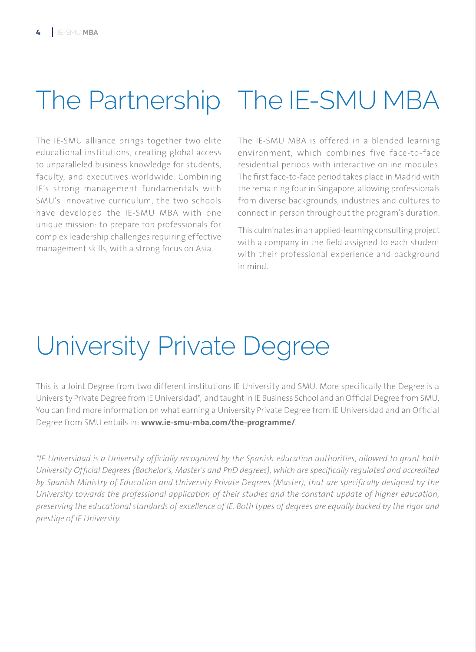# The Partnership The IE-SMU MBA

The IE-SMU alliance brings together two elite educational institutions, creating global access to unparalleled business knowledge for students, faculty, and executives worldwide. Combining IE's strong management fundamentals with SMU's innovative curriculum, the two schools have developed the IE-SMU MBA with one unique mission: to prepare top professionals for complex leadership challenges requiring effective management skills, with a strong focus on Asia.

The IE-SMU MBA is offered in a blended learning environment, which combines five face-to-face residential periods with interactive online modules. The first face-to-face period takes place in Madrid with the remaining four in Singapore, allowing professionals from diverse backgrounds, industries and cultures to connect in person throughout the program's duration.

This culminates in an applied-learning consulting project with a company in the field assigned to each student with their professional experience and background in mind.

# University Private Degree

This is a Joint Degree from two different institutions IE University and SMU. More specifically the Degree is a University Private Degree from IE Universidad\*, and taught in IE Business School and an Official Degree from SMU. You can find more information on what earning a University Private Degree from IE Universidad and an Official Degree from SMU entails in: **www.ie-smu-mba.com/the-programme/**.

*\*IE Universidad is a University officially recognized by the Spanish education authorities, allowed to grant both*  University Official Degrees (Bachelor's, Master's and PhD degrees), which are specifically regulated and accredited *by Spanish Ministry of Education and University Private Degrees (Master), that are specifically designed by the University towards the professional application of their studies and the constant update of higher education, preserving the educational standards of excellence of IE. Both types of degrees are equally backed by the rigor and prestige of IE University.*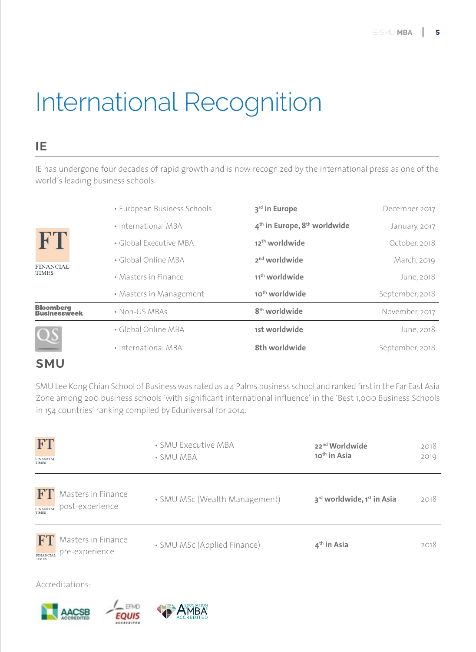# International Recognition

### **IE**

IE has undergone four decades of rapid growth and is now recognized by the international press as one of the world´s leading business schools.

|                                        | • European Business Schools | 3rd in Europe                                        | December 2017   |
|----------------------------------------|-----------------------------|------------------------------------------------------|-----------------|
| FT<br><b>FINANCIAL</b><br><b>TIMES</b> | • International MBA         | 4 <sup>th</sup> in Europe, 8 <sup>th</sup> worldwide | January, 2017   |
|                                        | • Global Executive MBA      | 12 <sup>th</sup> worldwide                           | October, 2018   |
|                                        | • Global Online MBA         | 2 <sup>nd</sup> worldwide                            | March, 2019     |
|                                        | • Masters in Finance        | 11 <sup>th</sup> worldwide                           | June, 2018      |
|                                        | • Masters in Management     | 10 <sup>th</sup> worldwide                           | September, 2018 |
| <b>Bloomberg<br/>Businessweek</b>      | • Non-US MBAs               | 8 <sup>th</sup> worldwide                            | November, 2017  |
| $\overline{\alpha}$                    | • Global Online MBA         | 1st worldwide                                        | June, 2018      |
|                                        | • International MBA         | 8th worldwide                                        | September, 2018 |
| <b>SMU</b>                             |                             |                                                      |                 |

SMU Lee Kong Chian School of Business was rated as a 4 Palms business school and ranked first in the Far East Asia Zone among 200 business schools 'with significant international influence' in the 'Best 1,000 Business Schools in 154 countries' ranking compiled by Eduniversal for 2014.

| <b>FT</b><br><b>FINANCIAL</b><br><b>TIMES</b>                                  | • SMU Executive MBA<br>• SMU MBA | 22 <sup>nd</sup> Worldwide<br>10 <sup>th</sup> in Asia | 2018<br>2019 |
|--------------------------------------------------------------------------------|----------------------------------|--------------------------------------------------------|--------------|
| F <sub>1</sub><br>Masters in Finance<br>post-experience<br>FINANCIAL<br>TIMES  | • SMU MSc (Wealth Management)    | 3rd worldwide, 1st in Asia                             | 2018         |
| Masters in Finance<br>FT<br>pre-experience<br><b>FINANCIAL</b><br><b>TIMES</b> | • SMU MSc (Applied Finance)      | $4th$ in Asia                                          | 2018         |

Accreditations:





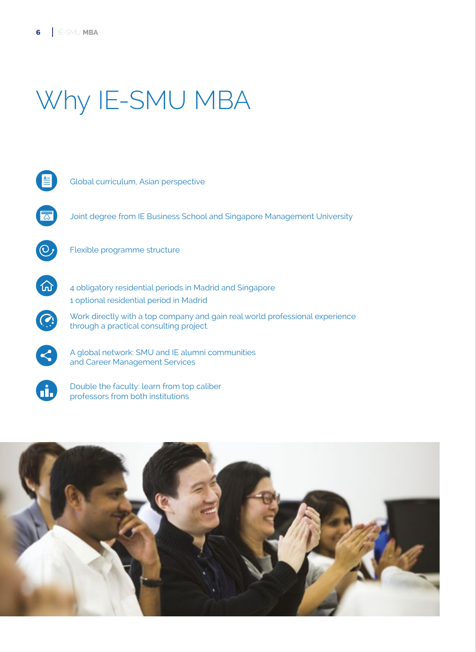# Why IE-SMU MBA



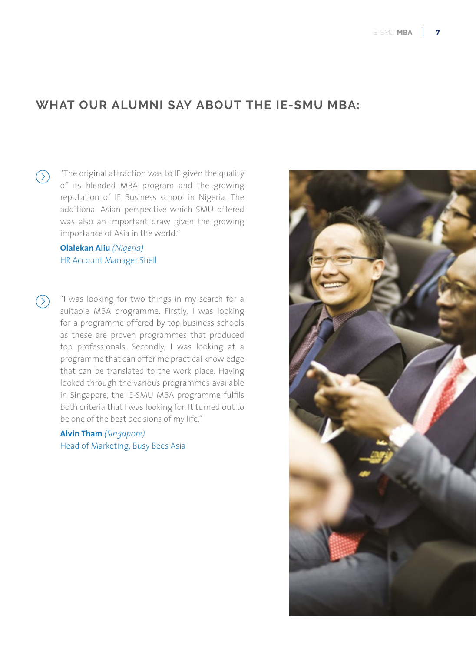### **WHAT OUR ALUMNI SAY ABOUT THE IE-SMU MBA:**

"The original attraction was to IE given the quality  $\odot$ of its blended MBA program and the growing reputation of IE Business school in Nigeria. The additional Asian perspective which SMU offered was also an important draw given the growing importance of Asia in the world."

#### **Olalekan Aliu** *(Nigeria)* HR Account Manager Shell

"I was looking for two things in my search for a  $\circledcirc$ suitable MBA programme. Firstly, I was looking for a programme offered by top business schools as these are proven programmes that produced top professionals. Secondly, I was looking at a programme that can offer me practical knowledge that can be translated to the work place. Having looked through the various programmes available in Singapore, the IE-SMU MBA programme fulfils both criteria that I was looking for. It turned out to be one of the best decisions of my life."

> **Alvin Tham** *(Singapore)* Head of Marketing, Busy Bees Asia

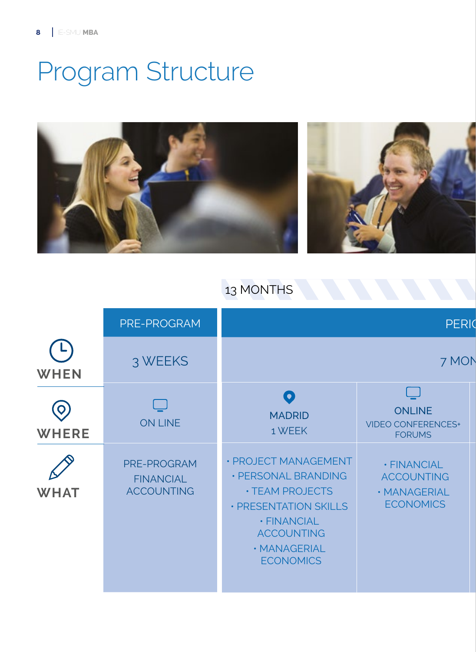# Program Structure



### 13 MONTHS

|                   | PRE-PROGRAM                                          |                                                                                                                                                                        | <b>PERIO</b>                                                         |
|-------------------|------------------------------------------------------|------------------------------------------------------------------------------------------------------------------------------------------------------------------------|----------------------------------------------------------------------|
| <b>WHEN</b>       | 3 WEEKS                                              |                                                                                                                                                                        | 7 MON                                                                |
| Q<br><b>WHERE</b> | <b>ON LINE</b>                                       | $\bullet$<br><b>MADRID</b><br>1 WEEK                                                                                                                                   | <b>ONLINE</b><br><b>VIDEO CONFERENCES+</b><br><b>FORUMS</b>          |
| <b>WHAT</b>       | PRE-PROGRAM<br><b>FINANCIAL</b><br><b>ACCOUNTING</b> | · PROJECT MANAGEMENT<br>• PERSONAL BRANDING<br><b>• TEAM PROJECTS</b><br>· PRESENTATION SKILLS<br>· FINANCIAL<br><b>ACCOUNTING</b><br>· MANAGERIAL<br><b>ECONOMICS</b> | · FINANCIAL<br><b>ACCOUNTING</b><br>· MANAGERIAL<br><b>ECONOMICS</b> |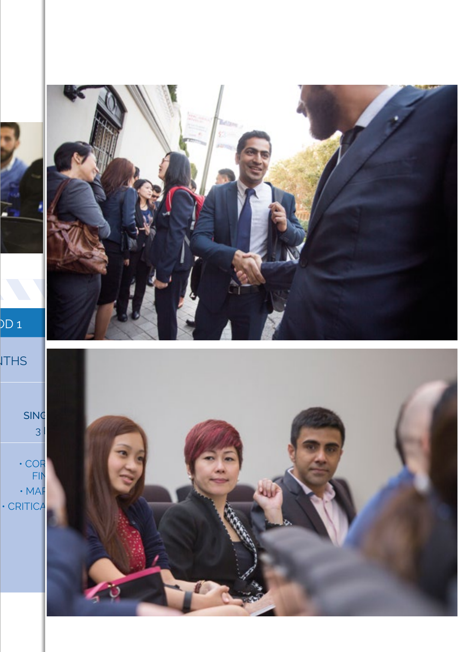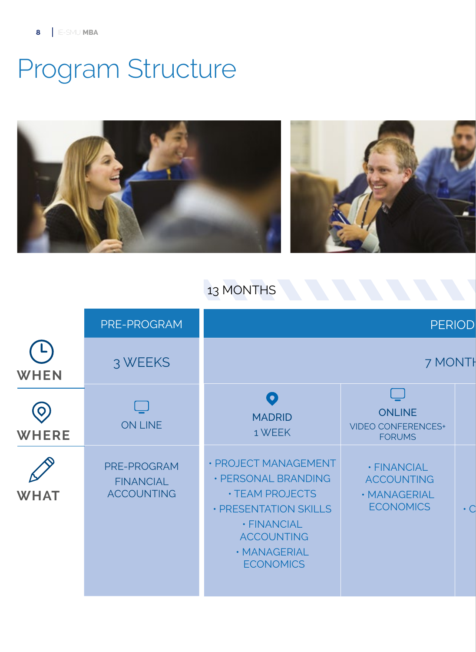# Program Structure



### 13 MONTHS

|              | PRE-PROGRAM                                          |                                                                                                                                                                        | <b>PERIOD</b>                                                        |           |
|--------------|------------------------------------------------------|------------------------------------------------------------------------------------------------------------------------------------------------------------------------|----------------------------------------------------------------------|-----------|
| <b>WHEN</b>  | 3 WEEKS                                              |                                                                                                                                                                        | 7 MONTH                                                              |           |
| <b>WHERE</b> | <b>ON LINE</b>                                       | O<br><b>MADRID</b><br>1 WEEK                                                                                                                                           | <b>ONLINE</b><br><b>VIDEO CONFERENCES+</b><br><b>FORUMS</b>          |           |
| <b>WHAT</b>  | PRE-PROGRAM<br><b>FINANCIAL</b><br><b>ACCOUNTING</b> | • PROJECT MANAGEMENT<br>· PERSONAL BRANDING<br><b>· TEAM PROJECTS</b><br>· PRESENTATION SKILLS<br>· FINANCIAL<br><b>ACCOUNTING</b><br>· MANAGERIAL<br><b>ECONOMICS</b> | · FINANCIAL<br><b>ACCOUNTING</b><br>· MANAGERIAL<br><b>ECONOMICS</b> | $\cdot$ C |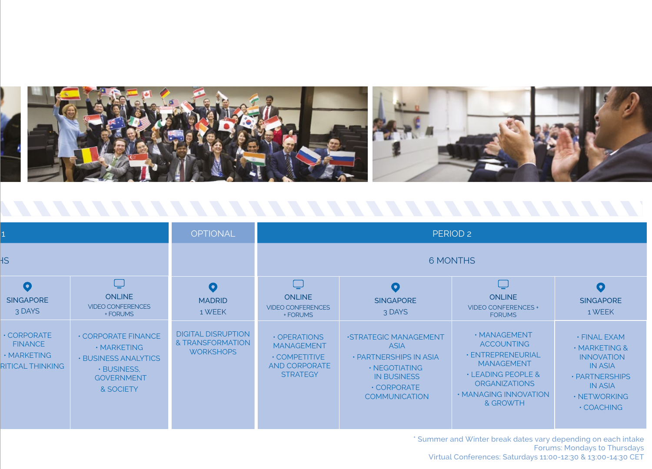

**OPTIONAL** PERIOD 2  $\overline{1}$  $AS$ 6 MONTHS  $\Box$  $\Box$  $\Box$  $\bullet$  $\bullet$  $\bullet$  $\bullet$ **ONLINE** ONLINE **ONLINE SINGAPORE** MADRID **SINGAPORE** SINGAPORE VIDEO CONFERENCES VIDEO CONFERENCES VIDEO CONFERENCES + 3 DAYS 1 WEEK 3 DAYS 1 WEEK + FORUMS + FORUMS FORUMS DIGITAL DISRUPTION • CORPORATE • CORPORATE FINANCE • MANAGEMENT • OPERATIONS •STRATEGIC MANAGEMENT • FINAL EXAM & TRANSFORMATION FINANCE ACCOUNTING MANAGEMENT ASIA • MARKETING • MARKETING & **WORKSHOPS** • ENTREPRENEURIAL • MARKETING • PARTNERSHIPS IN ASIA • COMPETITIVE INNOVATION • BUSINESS ANALYTICS MANAGEMENT • CRITICAL THINKING AND CORPORATE IN ASIA • NEGOTIATING • BUSINESS, **STRATEGY** • LEADING PEOPLE & IN BUSINESS • PARTNERSHIPS GOVERNMENT **ORGANIZATIONS** IN ASIA • CORPORATE & SOCIETY • MANAGING INNOVATION **COMMUNICATION** • NETWORKING & GROWTH • COACHING

> \* Summer and Winter break dates vary depending on each intake Forums: Mondays to Thursdays Virtual Conferences: Saturdays 11:00-12:30 & 13:00-14:30 CET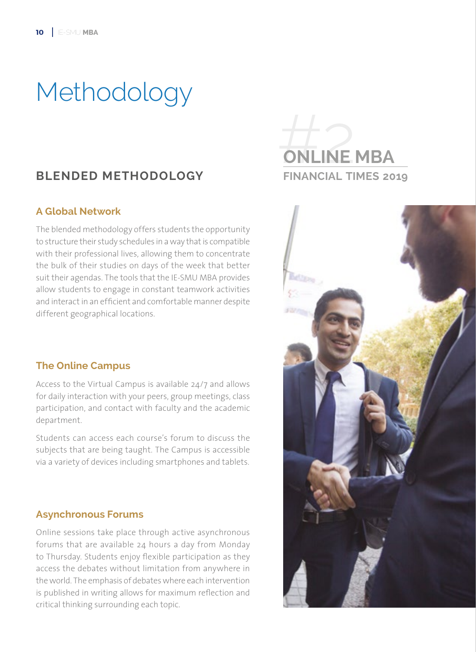# Methodology

### **BLENDED METHODOLOGY**

#### **A Global Network**

The blended methodology offers students the opportunity to structure their study schedules in a way that is compatible with their professional lives, allowing them to concentrate the bulk of their studies on days of the week that better suit their agendas. The tools that the IE-SMU MBA provides allow students to engage in constant teamwork activities and interact in an efficient and comfortable manner despite different geographical locations.

#### **The Online Campus**

Access to the Virtual Campus is available 24/7 and allows for daily interaction with your peers, group meetings, class participation, and contact with faculty and the academic department.

Students can access each course's forum to discuss the subjects that are being taught. The Campus is accessible via a variety of devices including smartphones and tablets.

#### **Asynchronous Forums**

Online sessions take place through active asynchronous forums that are available 24 hours a day from Monday to Thursday. Students enjoy flexible participation as they access the debates without limitation from anywhere in the world. The emphasis of debates where each intervention is published in writing allows for maximum reflection and critical thinking surrounding each topic.



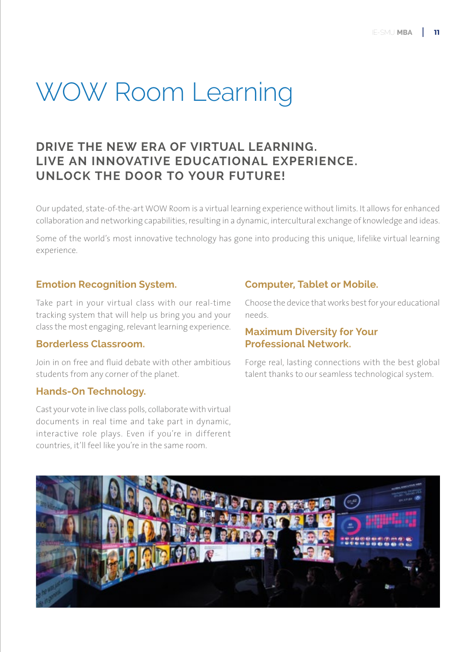# WOW Room Learning

### **DRIVE THE NEW ERA OF VIRTUAL LEARNING. LIVE AN INNOVATIVE EDUCATIONAL EXPERIENCE. UNLOCK THE DOOR TO YOUR FUTURE!**

Our updated, state-of-the-art WOW Room is a virtual learning experience without limits. It allows for enhanced collaboration and networking capabilities, resulting in a dynamic, intercultural exchange of knowledge and ideas.

Some of the world's most innovative technology has gone into producing this unique, lifelike virtual learning experience.

#### **Emotion Recognition System.**

Take part in your virtual class with our real-time tracking system that will help us bring you and your class the most engaging, relevant learning experience.

#### **Borderless Classroom.**

Join in on free and fluid debate with other ambitious students from any corner of the planet.

#### **Hands-On Technology.**

Cast your vote in live class polls, collaborate with virtual documents in real time and take part in dynamic, interactive role plays. Even if you're in different countries, it'll feel like you're in the same room.

#### **Computer, Tablet or Mobile.**

Choose the device that works best for your educational needs.

#### **Maximum Diversity for Your Professional Network.**

Forge real, lasting connections with the best global talent thanks to our seamless technological system.

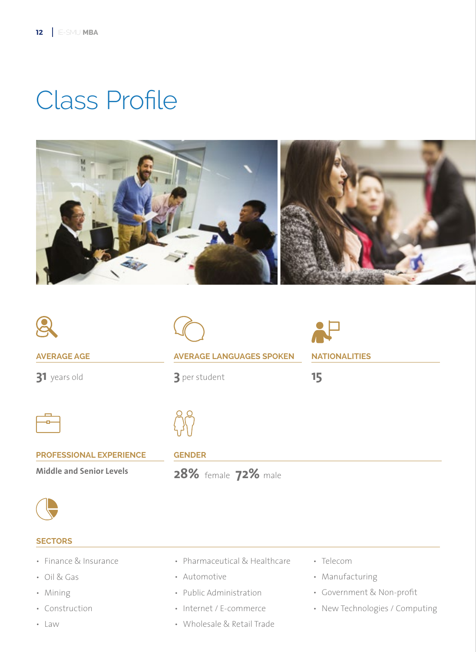# Class Profile





**31** years old



**3** per student



**15**



**PROFESSIONAL EXPERIENCE**

**Middle and Senior Levels** 

#### **GENDER**

**28%** female **72%** male



#### **SECTORS**

- Finance & Insurance
- Oil & Gas
- Mining
- Construction
- Law
- Pharmaceutical & Healthcare
- Automotive
- Public Administration
- Internet / E-commerce
- Wholesale & Retail Trade
- Telecom
- Manufacturing
- Government & Non-profit
- New Technologies / Computing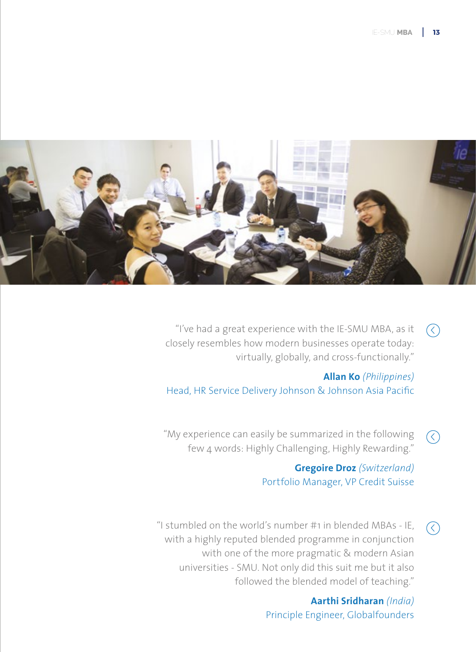

"I've had a great experience with the IE-SMU MBA, as it  $\bigcirc$ closely resembles how modern businesses operate today: virtually, globally, and cross-functionally."

**Allan Ko** *(Philippines)* Head, HR Service Delivery Johnson & Johnson Asia Pacific

"My experience can easily be summarized in the following  $\mathcal{R}$ few 4 words: Highly Challenging, Highly Rewarding."

### **Gregoire Droz** *(Switzerland)* Portfolio Manager, VP Credit Suisse

"I stumbled on the world's number #1 in blended MBAs - IE,  $\left(\rightarrow$ with a highly reputed blended programme in conjunction with one of the more pragmatic & modern Asian universities - SMU. Not only did this suit me but it also followed the blended model of teaching."

> **Aarthi Sridharan** *(India)* Principle Engineer, Globalfounders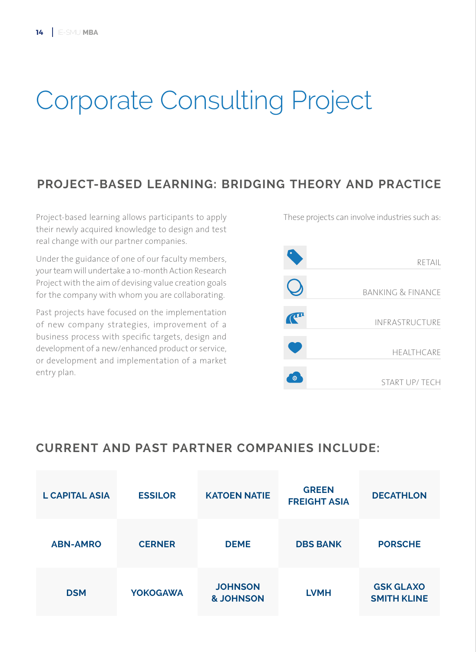# Corporate Consulting Project

### **PROJECT-BASED LEARNING: BRIDGING THEORY AND PRACTICE**

Project-based learning allows participants to apply their newly acquired knowledge to design and test real change with our partner companies.

Under the guidance of one of our faculty members, your team will undertake a 10-month Action Research Project with the aim of devising value creation goals for the company with whom you are collaborating.

Past projects have focused on the implementation of new company strategies, improvement of a business process with specific targets, design and development of a new/enhanced product or service, or development and implementation of a market entry plan.

These projects can involve industries such as:



### **CURRENT AND PAST PARTNER COMPANIES INCLUDE:**

| <b>L CAPITAL ASIA</b> | <b>ESSILOR</b>  | <b>KATOEN NATIE</b>                    | <b>GREEN</b><br><b>FREIGHT ASIA</b> | <b>DECATHLON</b>                       |
|-----------------------|-----------------|----------------------------------------|-------------------------------------|----------------------------------------|
| <b>ABN-AMRO</b>       | <b>CERNER</b>   | <b>DEME</b>                            | <b>DBS BANK</b>                     | <b>PORSCHE</b>                         |
| <b>DSM</b>            | <b>YOKOGAWA</b> | <b>JOHNSON</b><br><b>&amp; JOHNSON</b> | <b>LVMH</b>                         | <b>GSK GLAXO</b><br><b>SMITH KLINE</b> |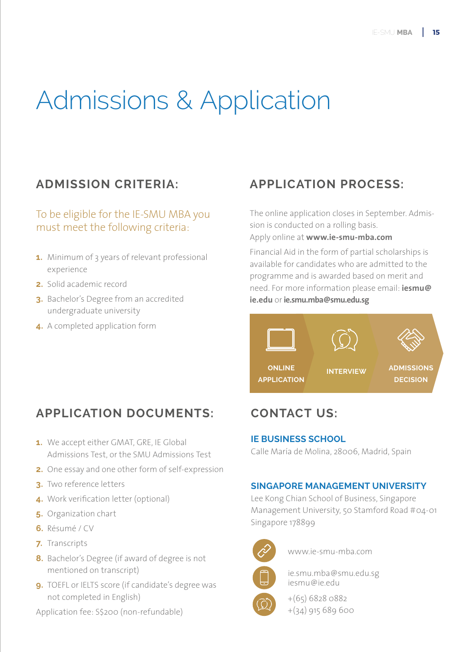# Admissions & Application

### To be eligible for the IE-SMU MBA you must meet the following criteria:

- **1.** Minimum of 3 years of relevant professional experience
- **2.** Solid academic record
- **3.** Bachelor's Degree from an accredited undergraduate university
- **4.** A completed application form

### **ADMISSION CRITERIA: APPLICATION PROCESS:**

The online application closes in September. Admission is conducted on a rolling basis. Apply online at **www.ie-smu-mba.com**

Financial Aid in the form of partial scholarships is available for candidates who are admitted to the programme and is awarded based on merit and need. For more information please email: **iesmu@ ie.edu** or **ie.smu.mba@smu.edu.sg**



### **APPLICATION DOCUMENTS:**

- **1.** We accept either GMAT, GRE, IE Global Admissions Test, or the SMU Admissions Test
- **2.** One essay and one other form of self-expression
- **3.** Two reference letters
- **4.** Work verification letter (optional)
- **5.** Organization chart
- **6.** Résumé / CV
- **7.** Transcripts
- **8.** Bachelor's Degree (if award of degree is not mentioned on transcript)
- **9.** TOEFL or IELTS score (if candidate's degree was not completed in English)

Application fee: S\$200 (non-refundable)

### **CONTACT US:**

#### **IE BUSINESS SCHOOL**

Calle María de Molina, 28006, Madrid, Spain

### **SINGAPORE MANAGEMENT UNIVERSITY**

Lee Kong Chian School of Business, Singapore Management University, 50 Stamford Road #04-01 Singapore 178899



www.ie-smu-mba.com

ie.smu.mba@smu.edu.sg iesmu@ie.edu

+(65) 6828 0882 +(34) 915 689 600